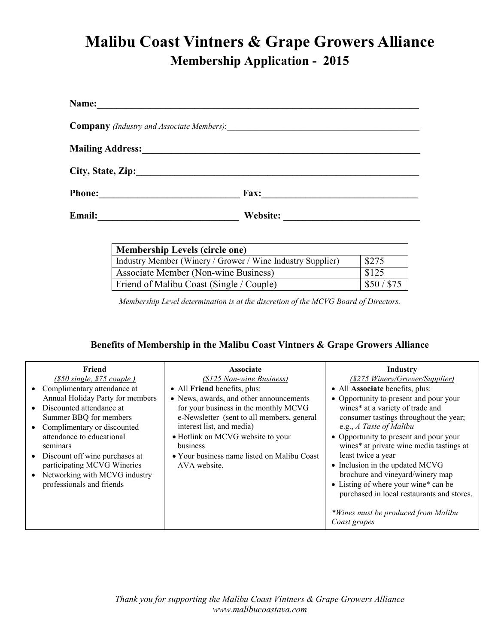# **Malibu Coast Vintners & Grape Growers Alliance Membership Application - 2015**

| Name:                   |             |  |  |
|-------------------------|-------------|--|--|
|                         |             |  |  |
| <b>Mailing Address:</b> |             |  |  |
| City, State, Zip:       |             |  |  |
| <b>Phone:</b>           | <b>Fax:</b> |  |  |
| Email:                  | Website:    |  |  |

| <b>Membership Levels (circle one)</b>                      |           |  |
|------------------------------------------------------------|-----------|--|
| Industry Member (Winery / Grower / Wine Industry Supplier) | \$275     |  |
| Associate Member (Non-wine Business)                       | \$125     |  |
| Friend of Malibu Coast (Single / Couple)                   | \$50/\$75 |  |

*Membership Level determination is at the discretion of the MCVG Board of Directors.* 

## **Benefits of Membership in the Malibu Coast Vintners & Grape Growers Alliance**

| Friend                                                       | <b>Associate</b>                            | Industry                                                            |
|--------------------------------------------------------------|---------------------------------------------|---------------------------------------------------------------------|
| $(S50 \text{ single}, S75 \text{ couple})$                   | (\$125 Non-wine Business)                   | (\$275 Winery/Grower/Supplier)                                      |
| Complimentary attendance at                                  | • All Friend benefits, plus:                | • All Associate benefits, plus:                                     |
| Annual Holiday Party for members                             | • News, awards, and other announcements     | • Opportunity to present and pour your                              |
| Discounted attendance at                                     | for your business in the monthly MCVG       | wines* at a variety of trade and                                    |
| Summer BBQ for members                                       | e-Newsletter (sent to all members, general  | consumer tastings throughout the year;                              |
| Complimentary or discounted                                  | interest list, and media)                   | e.g., A Taste of Malibu                                             |
| attendance to educational                                    | • Hotlink on MCVG website to your           | • Opportunity to present and pour your                              |
| seminars                                                     | business                                    | wines* at private wine media tastings at                            |
| Discount off wine purchases at                               | • Your business name listed on Malibu Coast | least twice a year                                                  |
| participating MCVG Wineries<br>Networking with MCVG industry | AVA website.                                | • Inclusion in the updated MCVG<br>brochure and vineyard/winery map |
| professionals and friends                                    |                                             | • Listing of where your wine* can be                                |
|                                                              |                                             | purchased in local restaurants and stores.                          |
|                                                              |                                             |                                                                     |
|                                                              |                                             | *Wines must be produced from Malibu                                 |
|                                                              |                                             | Coast grapes                                                        |
|                                                              |                                             |                                                                     |